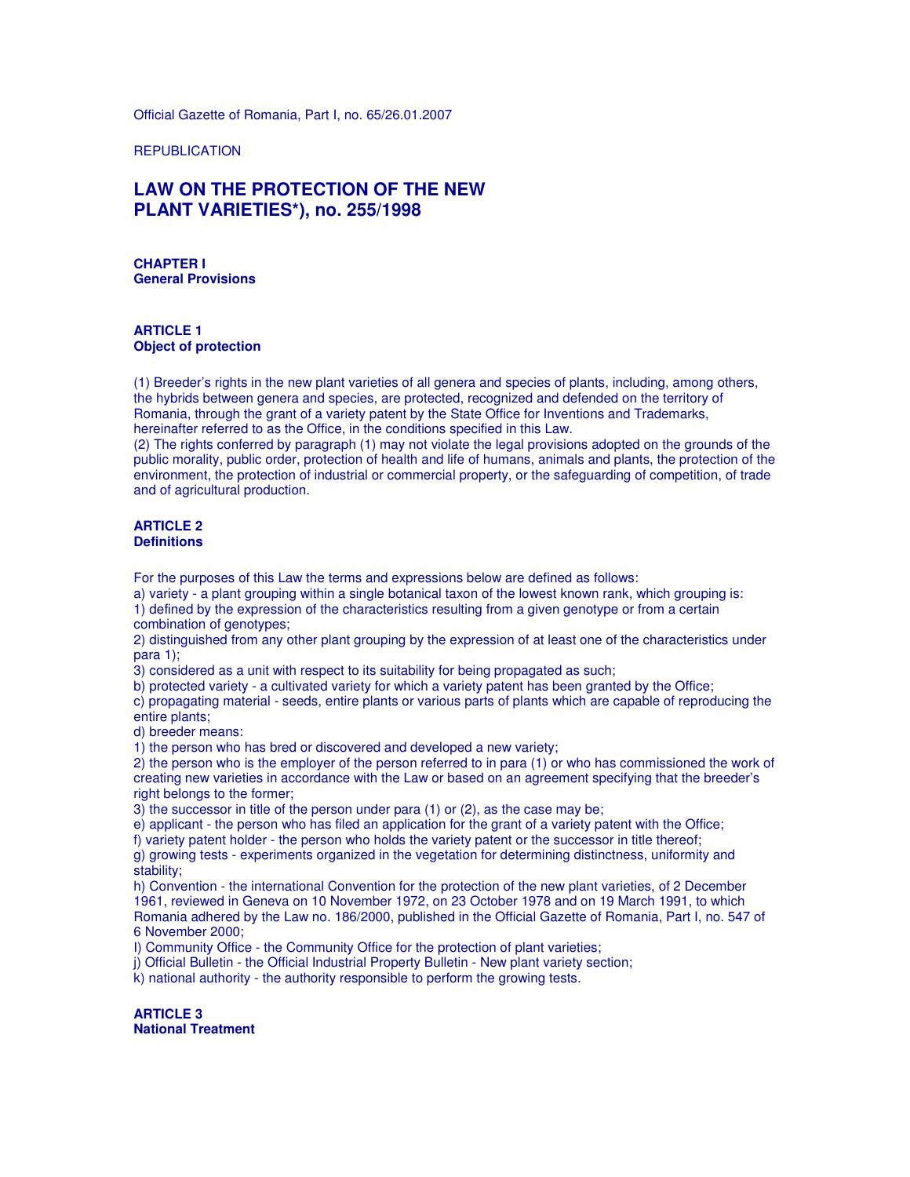Official Gazette of Romania, Part I, no. 65/26.01.2007

**REPUBLICATION** 

## **LAW ON THE PROTECTION OF THE NEW PLANT VARIETIES\*), no. 255/1998**

**CHAPTER I General Provisions** 

#### **ARTICLE 1 Object of protection**

(1) Breeder's rights in the new plant varieties of all genera and species of plants, including, among others, the hybrids between genera and species, are protected, recognized and defended on the territory of Romania, through the grant of a variety patent by the State Office for Inventions and Trademarks, hereinafter referred to as the Office, in the conditions specified in this Law.

(2) The rights conferred by paragraph (1) may not violate the legal provisions adopted on the grounds of the public morality, public order, protection of health and life of humans, animals and plants, the protection of the environment, the protection of industrial or commercial property, or the safeguarding of competition, of trade and of agricultural production.

#### **ARTICLE 2 Definitions**

For the purposes of this Law the terms and expressions below are defined as follows:

a) variety - a plant grouping within a single botanical taxon of the lowest known rank, which grouping is:

1) defined by the expression of the characteristics resulting from a given genotype or from a certain combination of genotypes;

2) distinguished from any other plant grouping by the expression of at least one of the characteristics under para 1);

3) considered as a unit with respect to its suitability for being propagated as such;

b) protected variety - a cultivated variety for which a variety patent has been granted by the Office;

c) propagating material - seeds, entire plants or various parts of plants which are capable of reproducing the entire plants;

d) breeder means:

1) the person who has bred or discovered and developed a new variety;

2) the person who is the employer of the person referred to in para (1) or who has commissioned the work of creating new varieties in accordance with the Law or based on an agreement specifying that the breeder's right belongs to the former;

3) the successor in title of the person under para (1) or (2), as the case may be;

e) applicant - the person who has filed an application for the grant of a variety patent with the Office;

f) variety patent holder - the person who holds the variety patent or the successor in title thereof;

g) growing tests - experiments organized in the vegetation for determining distinctness, uniformity and stability;

h) Convention - the international Convention for the protection of the new plant varieties, of 2 December 1961, reviewed in Geneva on 10 November 1972, on 23 October 1978 and on 19 March 1991, to which Romania adhered by the Law no. 186/2000, published in the Official Gazette of Romania, Part I, no. 547 of 6 November 2000;

I) Community Office - the Community Office for the protection of plant varieties;

j) Official Bulletin - the Official Industrial Property Bulletin - New plant variety section;

k) national authority - the authority responsible to perform the growing tests.

**ARTICLE 3 National Treatment**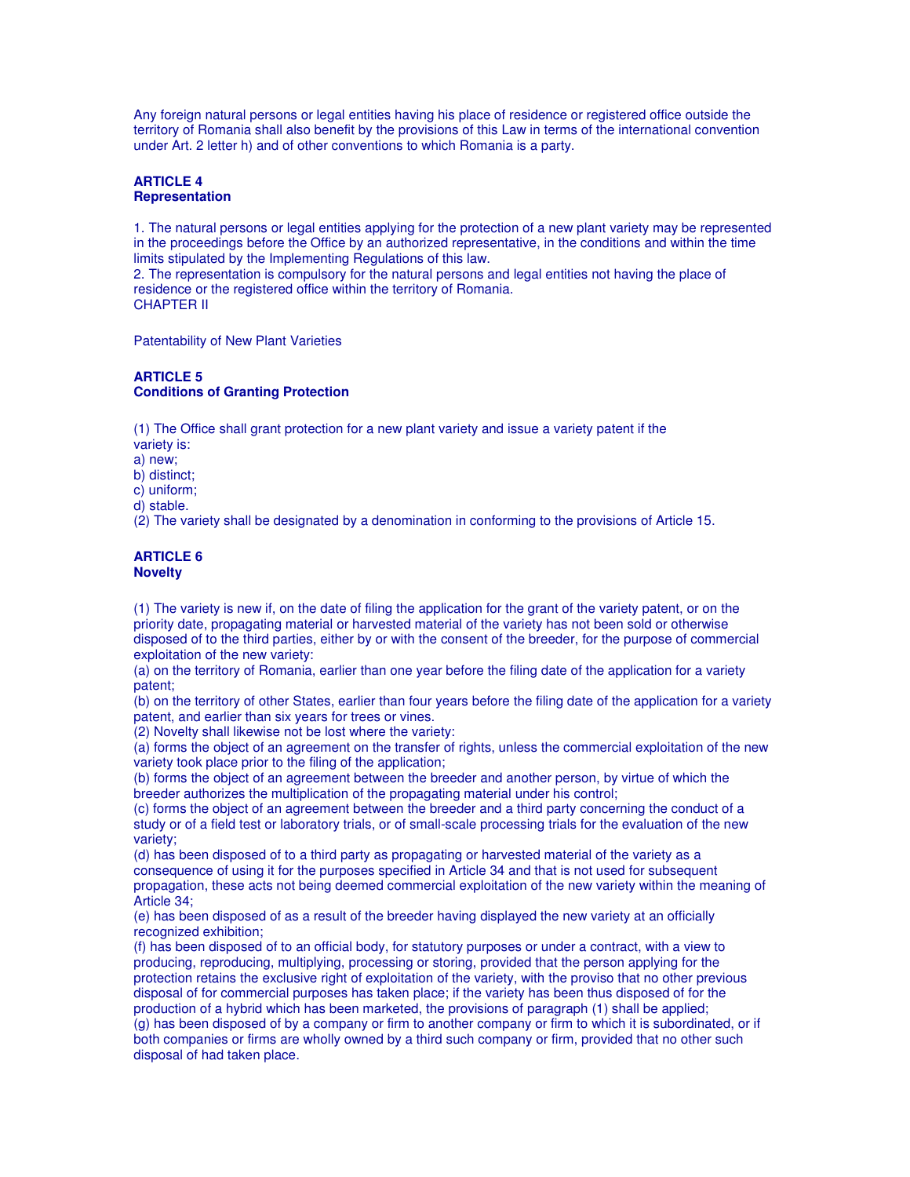Any foreign natural persons or legal entities having his place of residence or registered office outside the territory of Romania shall also benefit by the provisions of this Law in terms of the international convention under Art. 2 letter h) and of other conventions to which Romania is a party.

### **ARTICLE 4 Representation**

1. The natural persons or legal entities applying for the protection of a new plant variety may be represented in the proceedings before the Office by an authorized representative, in the conditions and within the time limits stipulated by the Implementing Regulations of this law.

2. The representation is compulsory for the natural persons and legal entities not having the place of residence or the registered office within the territory of Romania. CHAPTER II

Patentability of New Plant Varieties

## **ARTICLE 5 Conditions of Granting Protection**

(1) The Office shall grant protection for a new plant variety and issue a variety patent if the variety is:

a) new;

b) distinct;

c) uniform;

d) stable.

(2) The variety shall be designated by a denomination in conforming to the provisions of Article 15.

#### **ARTICLE 6 Novelty**

(1) The variety is new if, on the date of filing the application for the grant of the variety patent, or on the priority date, propagating material or harvested material of the variety has not been sold or otherwise disposed of to the third parties, either by or with the consent of the breeder, for the purpose of commercial exploitation of the new variety:

(a) on the territory of Romania, earlier than one year before the filing date of the application for a variety patent;

(b) on the territory of other States, earlier than four years before the filing date of the application for a variety patent, and earlier than six years for trees or vines.

(2) Novelty shall likewise not be lost where the variety:

(a) forms the object of an agreement on the transfer of rights, unless the commercial exploitation of the new variety took place prior to the filing of the application;

(b) forms the object of an agreement between the breeder and another person, by virtue of which the breeder authorizes the multiplication of the propagating material under his control;

(c) forms the object of an agreement between the breeder and a third party concerning the conduct of a study or of a field test or laboratory trials, or of small-scale processing trials for the evaluation of the new variety;

(d) has been disposed of to a third party as propagating or harvested material of the variety as a consequence of using it for the purposes specified in Article 34 and that is not used for subsequent propagation, these acts not being deemed commercial exploitation of the new variety within the meaning of Article 34;

(e) has been disposed of as a result of the breeder having displayed the new variety at an officially recognized exhibition;

(f) has been disposed of to an official body, for statutory purposes or under a contract, with a view to producing, reproducing, multiplying, processing or storing, provided that the person applying for the protection retains the exclusive right of exploitation of the variety, with the proviso that no other previous disposal of for commercial purposes has taken place; if the variety has been thus disposed of for the production of a hybrid which has been marketed, the provisions of paragraph (1) shall be applied; (g) has been disposed of by a company or firm to another company or firm to which it is subordinated, or if both companies or firms are wholly owned by a third such company or firm, provided that no other such disposal of had taken place.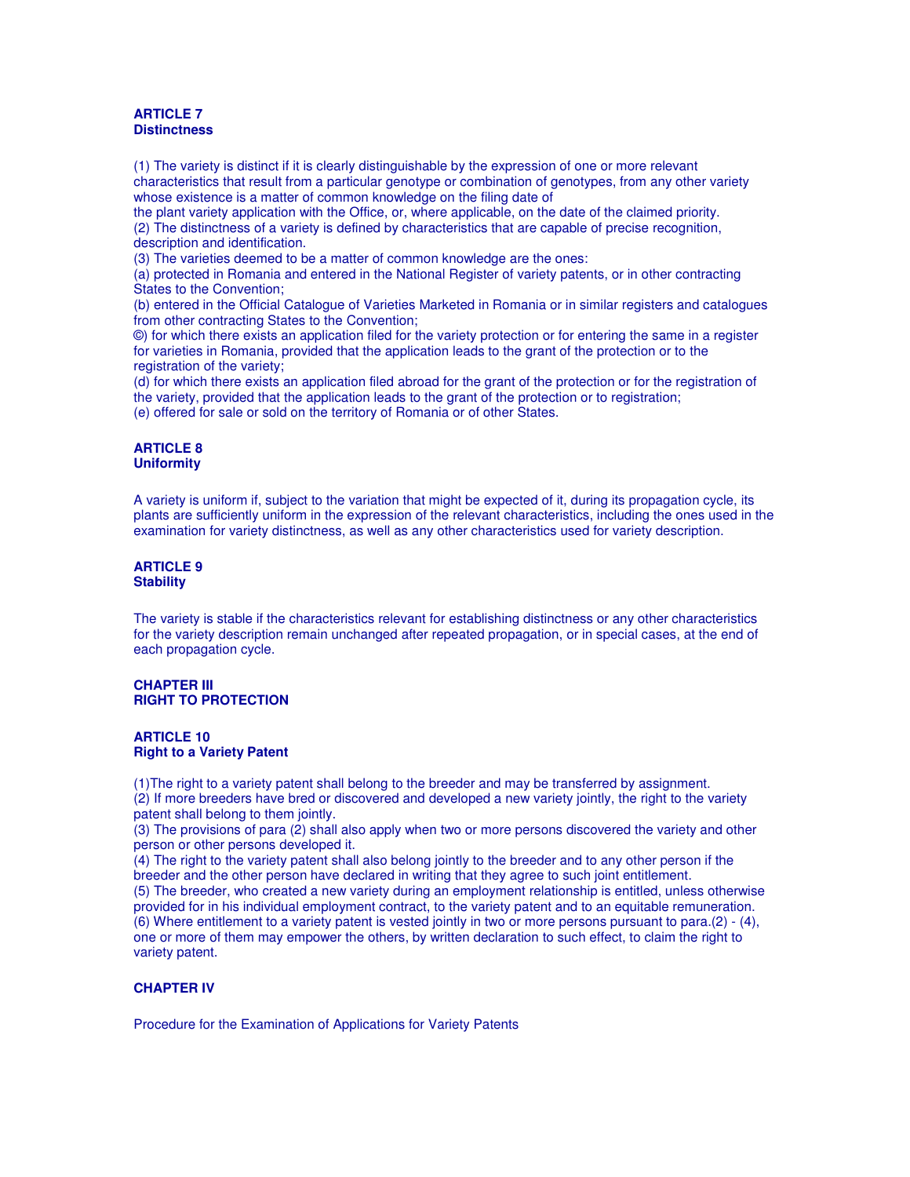#### **ARTICLE 7 Distinctness**

(1) The variety is distinct if it is clearly distinguishable by the expression of one or more relevant characteristics that result from a particular genotype or combination of genotypes, from any other variety whose existence is a matter of common knowledge on the filing date of

the plant variety application with the Office, or, where applicable, on the date of the claimed priority. (2) The distinctness of a variety is defined by characteristics that are capable of precise recognition, description and identification.

(3) The varieties deemed to be a matter of common knowledge are the ones:

(a) protected in Romania and entered in the National Register of variety patents, or in other contracting States to the Convention;

(b) entered in the Official Catalogue of Varieties Marketed in Romania or in similar registers and catalogues from other contracting States to the Convention;

©) for which there exists an application filed for the variety protection or for entering the same in a register for varieties in Romania, provided that the application leads to the grant of the protection or to the registration of the variety;

(d) for which there exists an application filed abroad for the grant of the protection or for the registration of the variety, provided that the application leads to the grant of the protection or to registration; (e) offered for sale or sold on the territory of Romania or of other States.

#### **ARTICLE 8 Uniformity**

A variety is uniform if, subject to the variation that might be expected of it, during its propagation cycle, its plants are sufficiently uniform in the expression of the relevant characteristics, including the ones used in the examination for variety distinctness, as well as any other characteristics used for variety description.

#### **ARTICLE 9 Stability**

The variety is stable if the characteristics relevant for establishing distinctness or any other characteristics for the variety description remain unchanged after repeated propagation, or in special cases, at the end of each propagation cycle.

#### **CHAPTER III RIGHT TO PROTECTION**

#### **ARTICLE 10 Right to a Variety Patent**

(1)The right to a variety patent shall belong to the breeder and may be transferred by assignment. (2) If more breeders have bred or discovered and developed a new variety jointly, the right to the variety patent shall belong to them jointly.

(3) The provisions of para (2) shall also apply when two or more persons discovered the variety and other person or other persons developed it.

(4) The right to the variety patent shall also belong jointly to the breeder and to any other person if the breeder and the other person have declared in writing that they agree to such joint entitlement.

(5) The breeder, who created a new variety during an employment relationship is entitled, unless otherwise provided for in his individual employment contract, to the variety patent and to an equitable remuneration. (6) Where entitlement to a variety patent is vested jointly in two or more persons pursuant to para.(2) - (4), one or more of them may empower the others, by written declaration to such effect, to claim the right to variety patent.

## **CHAPTER IV**

Procedure for the Examination of Applications for Variety Patents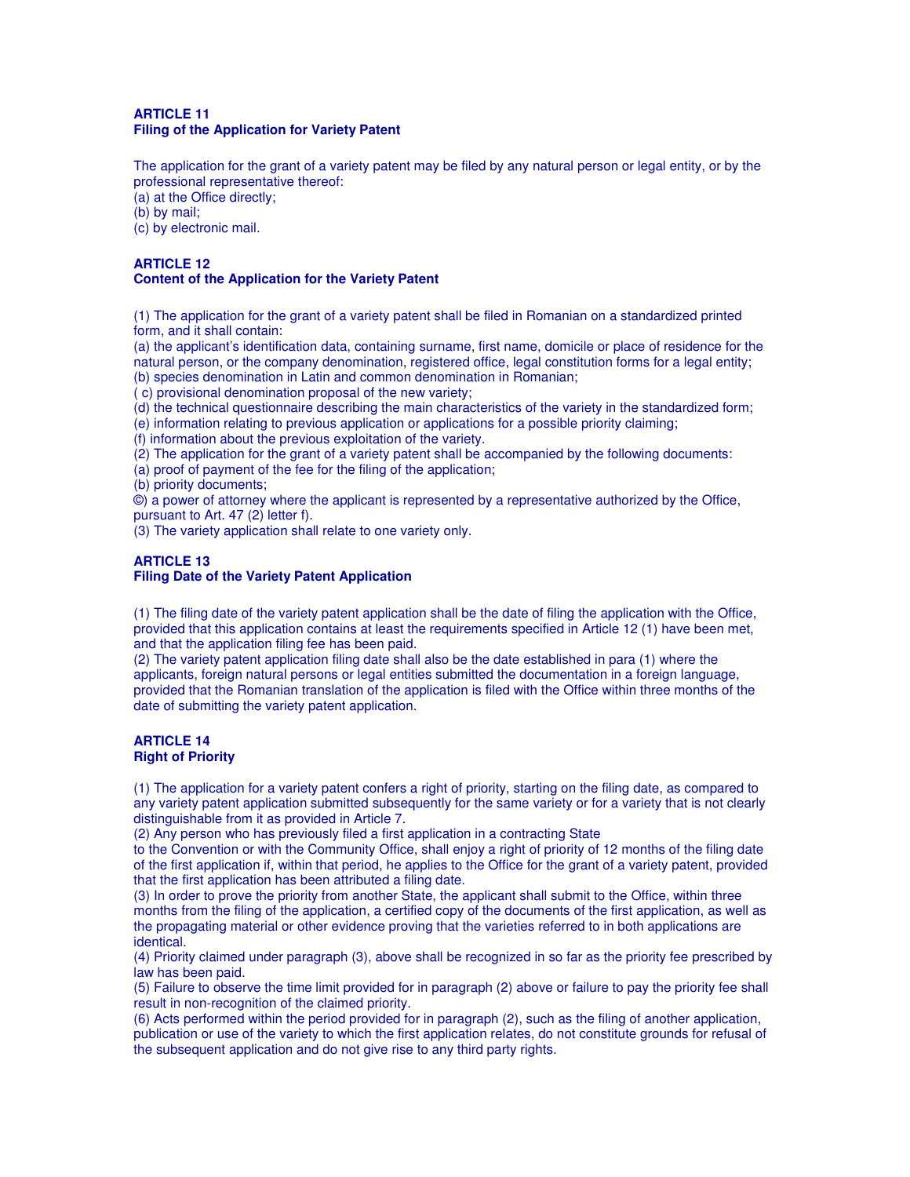#### **ARTICLE 11 Filing of the Application for Variety Patent**

The application for the grant of a variety patent may be filed by any natural person or legal entity, or by the professional representative thereof:

(a) at the Office directly;

(b) by mail;

(c) by electronic mail.

## **ARTICLE 12 Content of the Application for the Variety Patent**

(1) The application for the grant of a variety patent shall be filed in Romanian on a standardized printed form, and it shall contain:

(a) the applicant's identification data, containing surname, first name, domicile or place of residence for the natural person, or the company denomination, registered office, legal constitution forms for a legal entity; (b) species denomination in Latin and common denomination in Romanian;

( c) provisional denomination proposal of the new variety;

(d) the technical questionnaire describing the main characteristics of the variety in the standardized form;

(e) information relating to previous application or applications for a possible priority claiming;

(f) information about the previous exploitation of the variety.

(2) The application for the grant of a variety patent shall be accompanied by the following documents:

(a) proof of payment of the fee for the filing of the application;

(b) priority documents;

©) a power of attorney where the applicant is represented by a representative authorized by the Office, pursuant to Art. 47 (2) letter f).

(3) The variety application shall relate to one variety only.

#### **ARTICLE 13 Filing Date of the Variety Patent Application**

(1) The filing date of the variety patent application shall be the date of filing the application with the Office, provided that this application contains at least the requirements specified in Article 12 (1) have been met, and that the application filing fee has been paid.

(2) The variety patent application filing date shall also be the date established in para (1) where the applicants, foreign natural persons or legal entities submitted the documentation in a foreign language, provided that the Romanian translation of the application is filed with the Office within three months of the date of submitting the variety patent application.

## **ARTICLE 14 Right of Priority**

(1) The application for a variety patent confers a right of priority, starting on the filing date, as compared to any variety patent application submitted subsequently for the same variety or for a variety that is not clearly distinguishable from it as provided in Article 7.

(2) Any person who has previously filed a first application in a contracting State

to the Convention or with the Community Office, shall enjoy a right of priority of 12 months of the filing date of the first application if, within that period, he applies to the Office for the grant of a variety patent, provided that the first application has been attributed a filing date.

(3) In order to prove the priority from another State, the applicant shall submit to the Office, within three months from the filing of the application, a certified copy of the documents of the first application, as well as the propagating material or other evidence proving that the varieties referred to in both applications are identical.

(4) Priority claimed under paragraph (3), above shall be recognized in so far as the priority fee prescribed by law has been paid.

(5) Failure to observe the time limit provided for in paragraph (2) above or failure to pay the priority fee shall result in non-recognition of the claimed priority.

(6) Acts performed within the period provided for in paragraph (2), such as the filing of another application, publication or use of the variety to which the first application relates, do not constitute grounds for refusal of the subsequent application and do not give rise to any third party rights.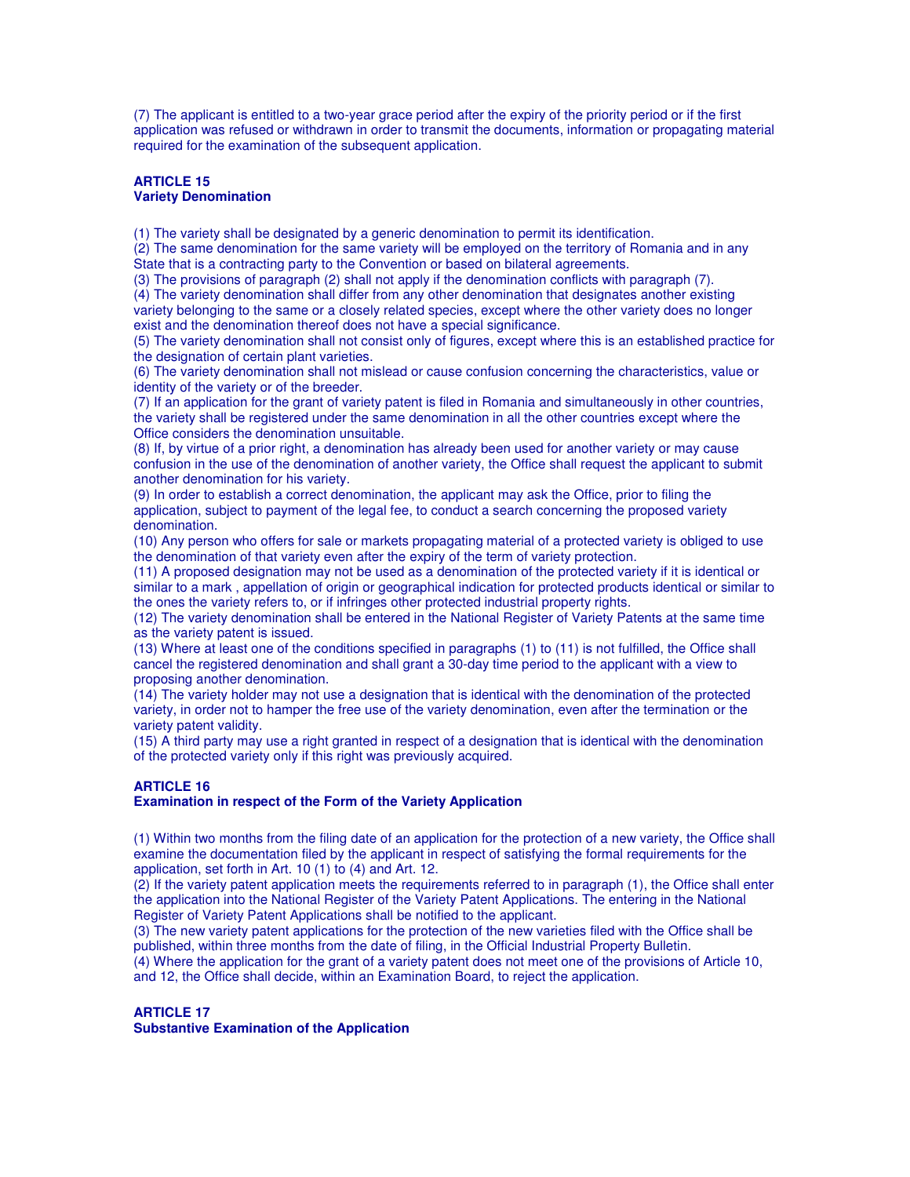(7) The applicant is entitled to a two-year grace period after the expiry of the priority period or if the first application was refused or withdrawn in order to transmit the documents, information or propagating material required for the examination of the subsequent application.

## **ARTICLE 15 Variety Denomination**

(1) The variety shall be designated by a generic denomination to permit its identification.

(2) The same denomination for the same variety will be employed on the territory of Romania and in any State that is a contracting party to the Convention or based on bilateral agreements.

(3) The provisions of paragraph (2) shall not apply if the denomination conflicts with paragraph (7).

(4) The variety denomination shall differ from any other denomination that designates another existing variety belonging to the same or a closely related species, except where the other variety does no longer exist and the denomination thereof does not have a special significance.

(5) The variety denomination shall not consist only of figures, except where this is an established practice for the designation of certain plant varieties.

(6) The variety denomination shall not mislead or cause confusion concerning the characteristics, value or identity of the variety or of the breeder.

(7) If an application for the grant of variety patent is filed in Romania and simultaneously in other countries, the variety shall be registered under the same denomination in all the other countries except where the Office considers the denomination unsuitable.

(8) If, by virtue of a prior right, a denomination has already been used for another variety or may cause confusion in the use of the denomination of another variety, the Office shall request the applicant to submit another denomination for his variety.

(9) In order to establish a correct denomination, the applicant may ask the Office, prior to filing the application, subject to payment of the legal fee, to conduct a search concerning the proposed variety denomination.

(10) Any person who offers for sale or markets propagating material of a protected variety is obliged to use the denomination of that variety even after the expiry of the term of variety protection.

(11) A proposed designation may not be used as a denomination of the protected variety if it is identical or similar to a mark , appellation of origin or geographical indication for protected products identical or similar to the ones the variety refers to, or if infringes other protected industrial property rights.

(12) The variety denomination shall be entered in the National Register of Variety Patents at the same time as the variety patent is issued.

(13) Where at least one of the conditions specified in paragraphs (1) to (11) is not fulfilled, the Office shall cancel the registered denomination and shall grant a 30-day time period to the applicant with a view to proposing another denomination.

(14) The variety holder may not use a designation that is identical with the denomination of the protected variety, in order not to hamper the free use of the variety denomination, even after the termination or the variety patent validity.

(15) A third party may use a right granted in respect of a designation that is identical with the denomination of the protected variety only if this right was previously acquired.

## **ARTICLE 16**

## **Examination in respect of the Form of the Variety Application**

(1) Within two months from the filing date of an application for the protection of a new variety, the Office shall examine the documentation filed by the applicant in respect of satisfying the formal requirements for the application, set forth in Art. 10 (1) to (4) and Art. 12.

(2) If the variety patent application meets the requirements referred to in paragraph (1), the Office shall enter the application into the National Register of the Variety Patent Applications. The entering in the National Register of Variety Patent Applications shall be notified to the applicant.

(3) The new variety patent applications for the protection of the new varieties filed with the Office shall be published, within three months from the date of filing, in the Official Industrial Property Bulletin.

(4) Where the application for the grant of a variety patent does not meet one of the provisions of Article 10, and 12, the Office shall decide, within an Examination Board, to reject the application.

## **ARTICLE 17**

**Substantive Examination of the Application**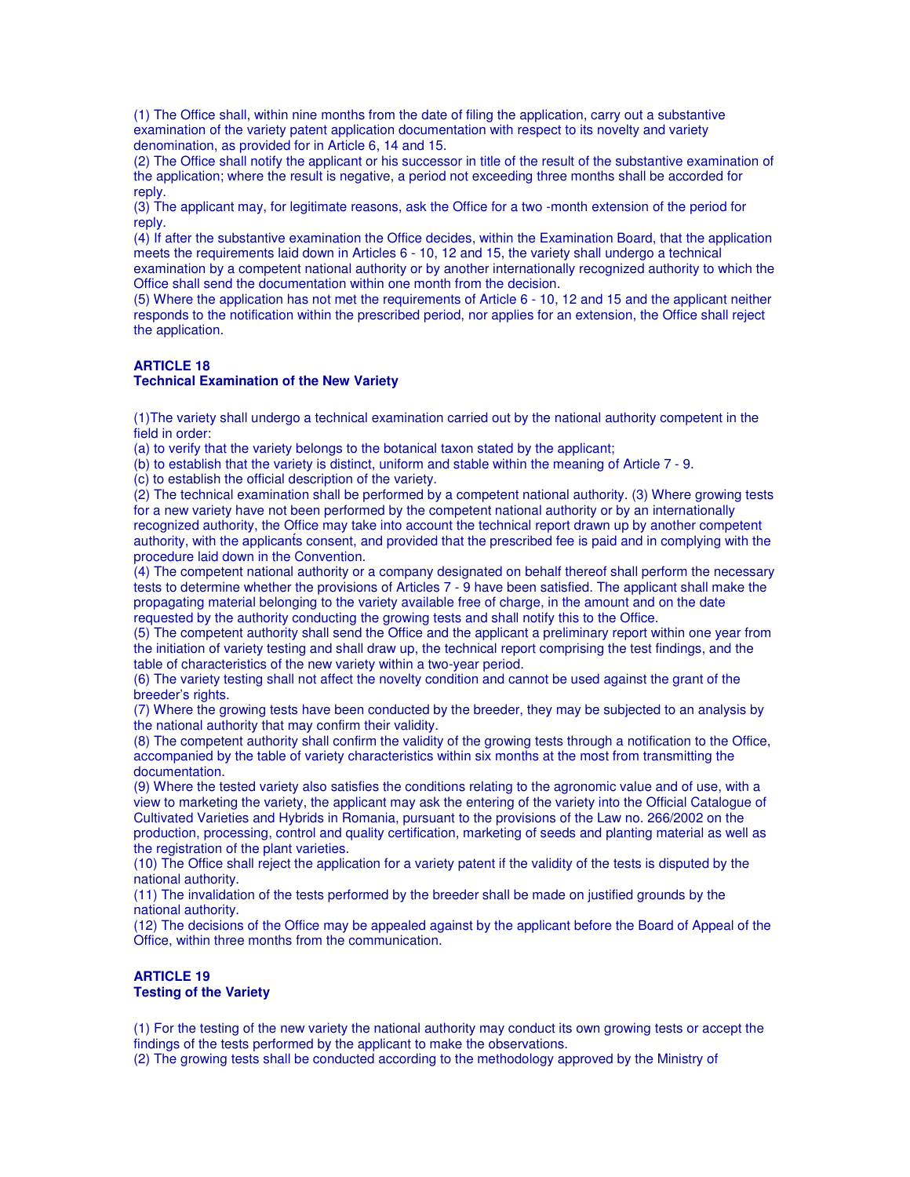(1) The Office shall, within nine months from the date of filing the application, carry out a substantive examination of the variety patent application documentation with respect to its novelty and variety denomination, as provided for in Article 6, 14 and 15.

(2) The Office shall notify the applicant or his successor in title of the result of the substantive examination of the application; where the result is negative, a period not exceeding three months shall be accorded for reply.

(3) The applicant may, for legitimate reasons, ask the Office for a two -month extension of the period for reply.

(4) If after the substantive examination the Office decides, within the Examination Board, that the application meets the requirements laid down in Articles 6 - 10, 12 and 15, the variety shall undergo a technical examination by a competent national authority or by another internationally recognized authority to which the Office shall send the documentation within one month from the decision.

(5) Where the application has not met the requirements of Article 6 - 10, 12 and 15 and the applicant neither responds to the notification within the prescribed period, nor applies for an extension, the Office shall reject the application.

## **ARTICLE 18**

#### **Technical Examination of the New Variety**

(1)The variety shall undergo a technical examination carried out by the national authority competent in the field in order:

(a) to verify that the variety belongs to the botanical taxon stated by the applicant;

(b) to establish that the variety is distinct, uniform and stable within the meaning of Article 7 - 9.

(c) to establish the official description of the variety.

(2) The technical examination shall be performed by a competent national authority. (3) Where growing tests for a new variety have not been performed by the competent national authority or by an internationally recognized authority, the Office may take into account the technical report drawn up by another competent authority, with the applicants consent, and provided that the prescribed fee is paid and in complying with the procedure laid down in the Convention.

(4) The competent national authority or a company designated on behalf thereof shall perform the necessary tests to determine whether the provisions of Articles 7 - 9 have been satisfied. The applicant shall make the propagating material belonging to the variety available free of charge, in the amount and on the date requested by the authority conducting the growing tests and shall notify this to the Office.

(5) The competent authority shall send the Office and the applicant a preliminary report within one year from the initiation of variety testing and shall draw up, the technical report comprising the test findings, and the table of characteristics of the new variety within a two-year period.

(6) The variety testing shall not affect the novelty condition and cannot be used against the grant of the breeder's rights.

(7) Where the growing tests have been conducted by the breeder, they may be subjected to an analysis by the national authority that may confirm their validity.

(8) The competent authority shall confirm the validity of the growing tests through a notification to the Office, accompanied by the table of variety characteristics within six months at the most from transmitting the documentation.

(9) Where the tested variety also satisfies the conditions relating to the agronomic value and of use, with a view to marketing the variety, the applicant may ask the entering of the variety into the Official Catalogue of Cultivated Varieties and Hybrids in Romania, pursuant to the provisions of the Law no. 266/2002 on the production, processing, control and quality certification, marketing of seeds and planting material as well as the registration of the plant varieties.

(10) The Office shall reject the application for a variety patent if the validity of the tests is disputed by the national authority.

(11) The invalidation of the tests performed by the breeder shall be made on justified grounds by the national authority.

(12) The decisions of the Office may be appealed against by the applicant before the Board of Appeal of the Office, within three months from the communication.

#### **ARTICLE 19 Testing of the Variety**

(1) For the testing of the new variety the national authority may conduct its own growing tests or accept the findings of the tests performed by the applicant to make the observations.

(2) The growing tests shall be conducted according to the methodology approved by the Ministry of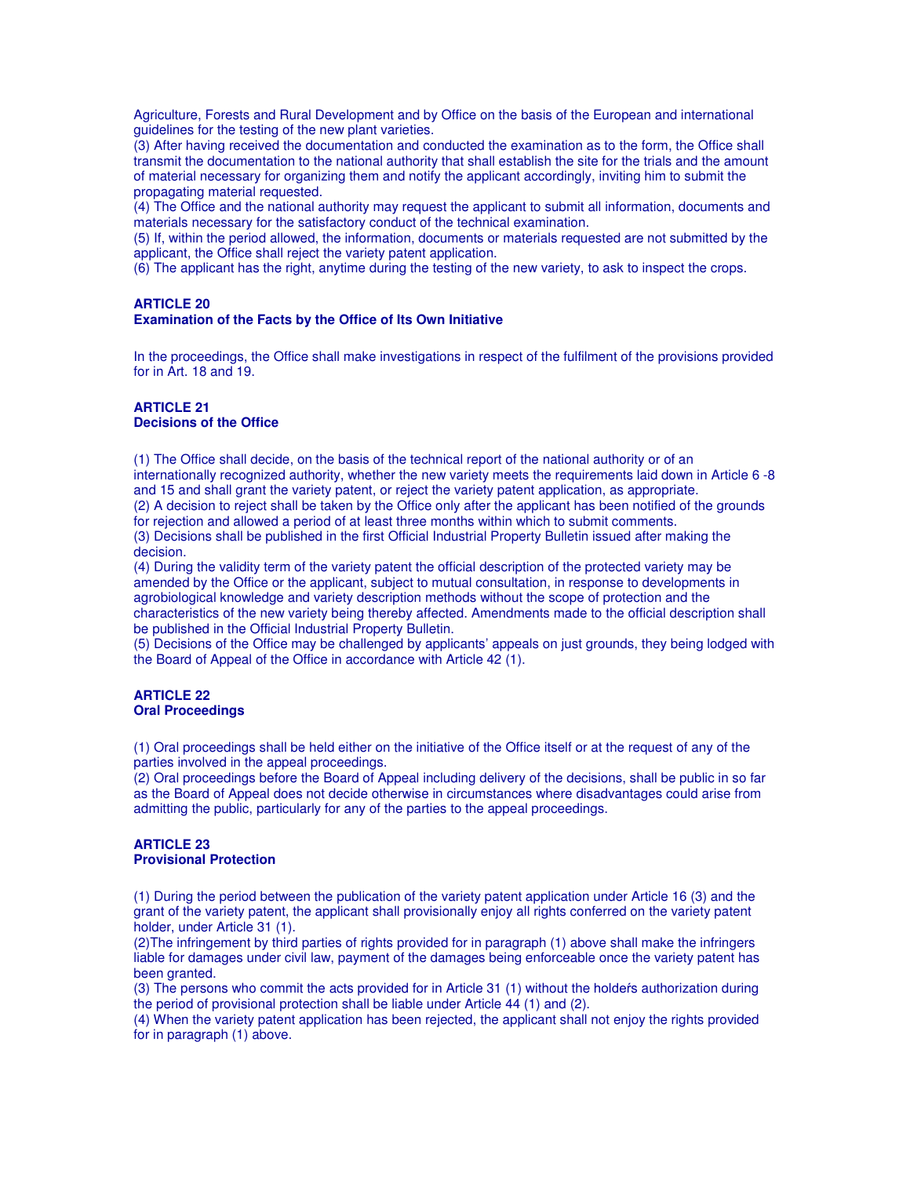Agriculture, Forests and Rural Development and by Office on the basis of the European and international quidelines for the testing of the new plant varieties.

(3) After having received the documentation and conducted the examination as to the form, the Office shall transmit the documentation to the national authority that shall establish the site for the trials and the amount of material necessary for organizing them and notify the applicant accordingly, inviting him to submit the propagating material requested.

(4) The Office and the national authority may request the applicant to submit all information, documents and materials necessary for the satisfactory conduct of the technical examination.

(5) If, within the period allowed, the information, documents or materials requested are not submitted by the applicant, the Office shall reject the variety patent application.

(6) The applicant has the right, anytime during the testing of the new variety, to ask to inspect the crops.

#### **ARTICLE 20 Examination of the Facts by the Office of Its Own Initiative**

In the proceedings, the Office shall make investigations in respect of the fulfilment of the provisions provided for in Art. 18 and 19.

#### **ARTICLE 21 Decisions of the Office**

(1) The Office shall decide, on the basis of the technical report of the national authority or of an internationally recognized authority, whether the new variety meets the requirements laid down in Article 6 -8 and 15 and shall grant the variety patent, or reject the variety patent application, as appropriate. (2) A decision to reject shall be taken by the Office only after the applicant has been notified of the grounds for rejection and allowed a period of at least three months within which to submit comments. (3) Decisions shall be published in the first Official Industrial Property Bulletin issued after making the

decision.

(4) During the validity term of the variety patent the official description of the protected variety may be amended by the Office or the applicant, subject to mutual consultation, in response to developments in agrobiological knowledge and variety description methods without the scope of protection and the characteristics of the new variety being thereby affected. Amendments made to the official description shall be published in the Official Industrial Property Bulletin.

(5) Decisions of the Office may be challenged by applicants' appeals on just grounds, they being lodged with the Board of Appeal of the Office in accordance with Article 42 (1).

#### **ARTICLE 22 Oral Proceedings**

(1) Oral proceedings shall be held either on the initiative of the Office itself or at the request of any of the parties involved in the appeal proceedings.

(2) Oral proceedings before the Board of Appeal including delivery of the decisions, shall be public in so far as the Board of Appeal does not decide otherwise in circumstances where disadvantages could arise from admitting the public, particularly for any of the parties to the appeal proceedings.

#### **ARTICLE 23 Provisional Protection**

(1) During the period between the publication of the variety patent application under Article 16 (3) and the grant of the variety patent, the applicant shall provisionally enjoy all rights conferred on the variety patent holder, under Article 31 (1).

(2)The infringement by third parties of rights provided for in paragraph (1) above shall make the infringers liable for damages under civil law, payment of the damages being enforceable once the variety patent has been granted.

(3) The persons who commit the acts provided for in Article 31 (1) without the holder's authorization during the period of provisional protection shall be liable under Article 44 (1) and (2).

(4) When the variety patent application has been rejected, the applicant shall not enjoy the rights provided for in paragraph (1) above.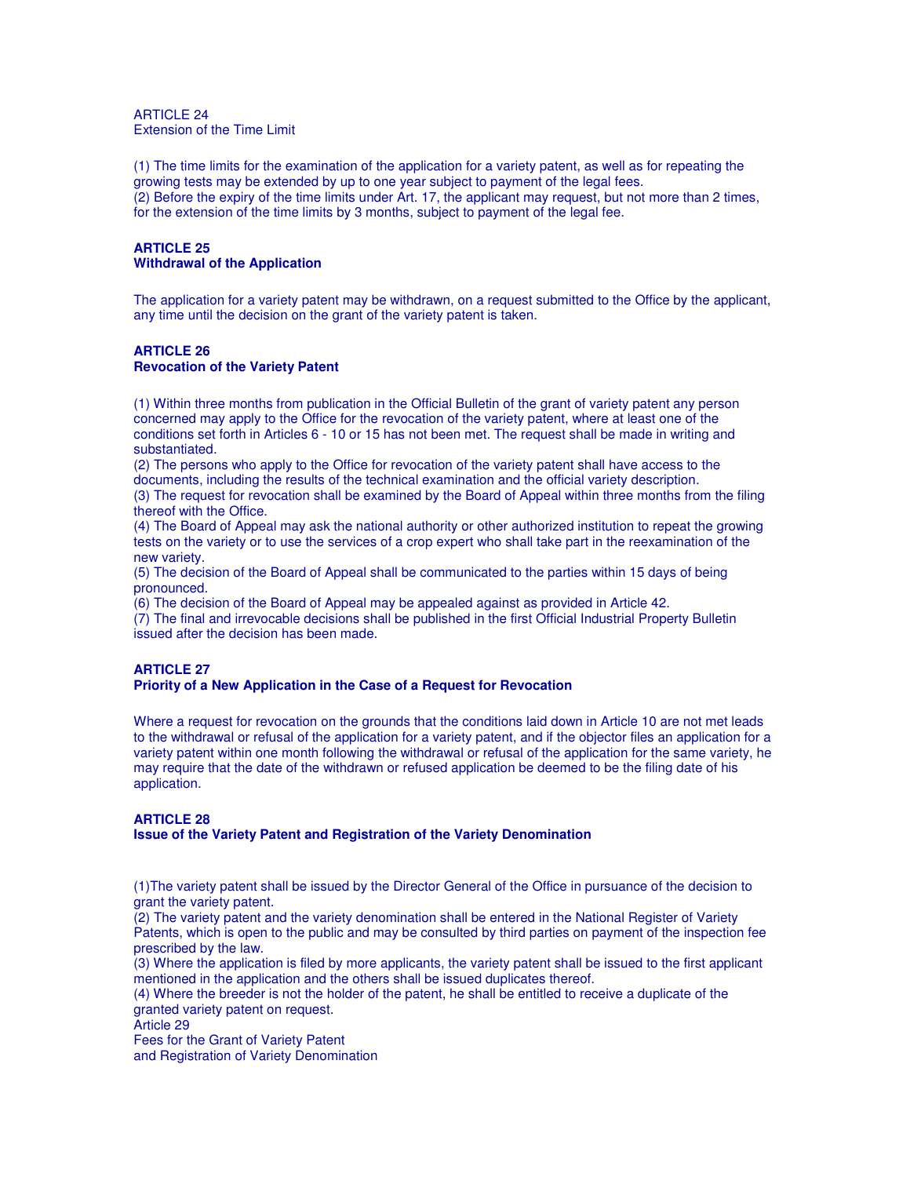ARTICLE 24 Extension of the Time Limit

(1) The time limits for the examination of the application for a variety patent, as well as for repeating the growing tests may be extended by up to one year subject to payment of the legal fees. (2) Before the expiry of the time limits under Art. 17, the applicant may request, but not more than 2 times, for the extension of the time limits by 3 months, subject to payment of the legal fee.

## **ARTICLE 25 Withdrawal of the Application**

The application for a variety patent may be withdrawn, on a request submitted to the Office by the applicant, any time until the decision on the grant of the variety patent is taken.

#### **ARTICLE 26 Revocation of the Variety Patent**

(1) Within three months from publication in the Official Bulletin of the grant of variety patent any person concerned may apply to the Office for the revocation of the variety patent, where at least one of the conditions set forth in Articles 6 - 10 or 15 has not been met. The request shall be made in writing and substantiated.

(2) The persons who apply to the Office for revocation of the variety patent shall have access to the documents, including the results of the technical examination and the official variety description.

(3) The request for revocation shall be examined by the Board of Appeal within three months from the filing thereof with the Office.

(4) The Board of Appeal may ask the national authority or other authorized institution to repeat the growing tests on the variety or to use the services of a crop expert who shall take part in the reexamination of the new variety.

(5) The decision of the Board of Appeal shall be communicated to the parties within 15 days of being pronounced.

(6) The decision of the Board of Appeal may be appealed against as provided in Article 42.

(7) The final and irrevocable decisions shall be published in the first Official Industrial Property Bulletin issued after the decision has been made.

## **ARTICLE 27**

#### **Priority of a New Application in the Case of a Request for Revocation**

Where a request for revocation on the grounds that the conditions laid down in Article 10 are not met leads to the withdrawal or refusal of the application for a variety patent, and if the objector files an application for a variety patent within one month following the withdrawal or refusal of the application for the same variety, he may require that the date of the withdrawn or refused application be deemed to be the filing date of his application.

#### **ARTICLE 28**

#### **Issue of the Variety Patent and Registration of the Variety Denomination**

(1)The variety patent shall be issued by the Director General of the Office in pursuance of the decision to grant the variety patent.

(2) The variety patent and the variety denomination shall be entered in the National Register of Variety Patents, which is open to the public and may be consulted by third parties on payment of the inspection fee prescribed by the law.

(3) Where the application is filed by more applicants, the variety patent shall be issued to the first applicant mentioned in the application and the others shall be issued duplicates thereof.

(4) Where the breeder is not the holder of the patent, he shall be entitled to receive a duplicate of the granted variety patent on request.

Article 29

Fees for the Grant of Variety Patent and Registration of Variety Denomination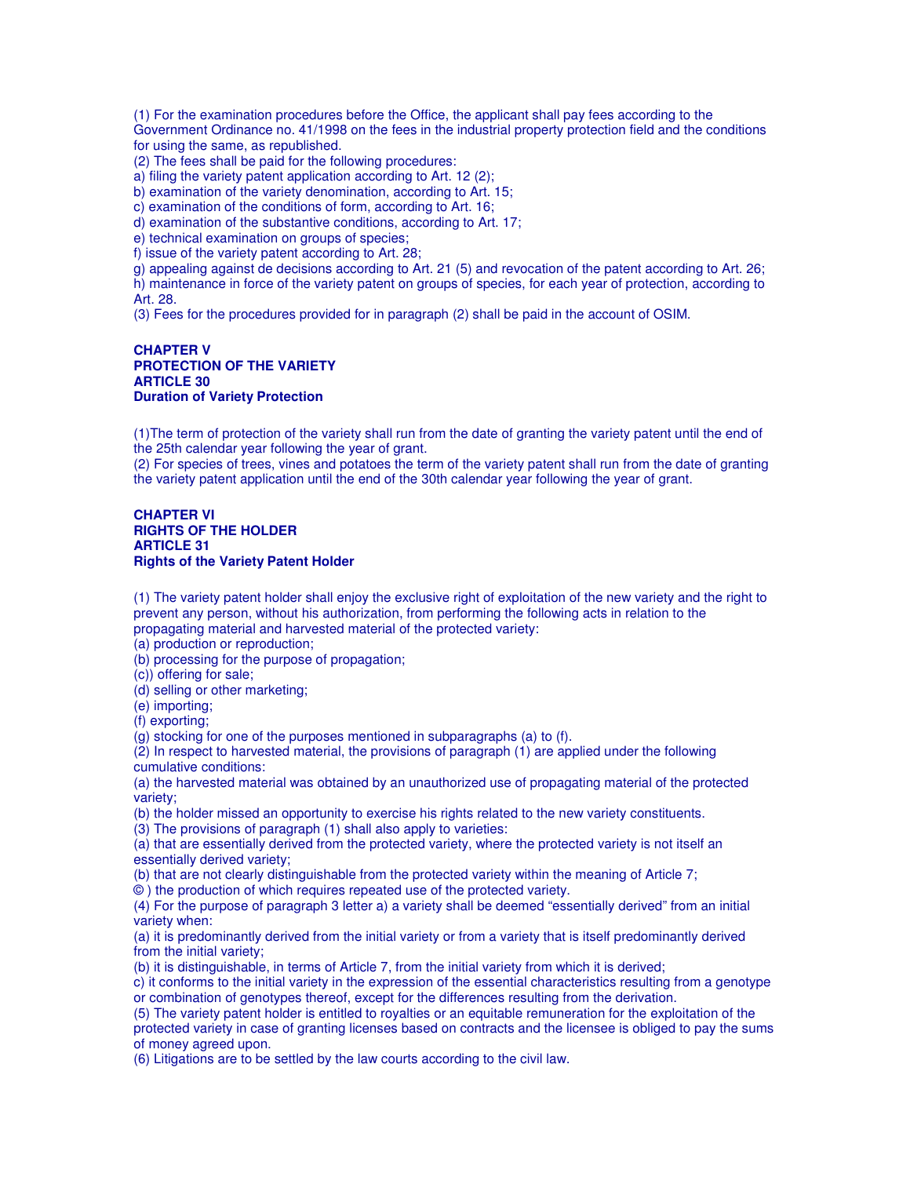(1) For the examination procedures before the Office, the applicant shall pay fees according to the Government Ordinance no. 41/1998 on the fees in the industrial property protection field and the conditions for using the same, as republished.

(2) The fees shall be paid for the following procedures:

a) filing the variety patent application according to Art. 12 (2);

b) examination of the variety denomination, according to Art. 15;

c) examination of the conditions of form, according to Art. 16;

d) examination of the substantive conditions, according to Art. 17;

e) technical examination on groups of species;

f) issue of the variety patent according to Art. 28;

g) appealing against de decisions according to Art. 21 (5) and revocation of the patent according to Art. 26;

h) maintenance in force of the variety patent on groups of species, for each year of protection, according to Art. 28.

(3) Fees for the procedures provided for in paragraph (2) shall be paid in the account of OSIM.

#### **CHAPTER V PROTECTION OF THE VARIETY ARTICLE 30 Duration of Variety Protection**

(1)The term of protection of the variety shall run from the date of granting the variety patent until the end of the 25th calendar year following the year of grant.

(2) For species of trees, vines and potatoes the term of the variety patent shall run from the date of granting the variety patent application until the end of the 30th calendar year following the year of grant.

#### **CHAPTER VI RIGHTS OF THE HOLDER ARTICLE 31 Rights of the Variety Patent Holder**

(1) The variety patent holder shall enjoy the exclusive right of exploitation of the new variety and the right to prevent any person, without his authorization, from performing the following acts in relation to the propagating material and harvested material of the protected variety:

(a) production or reproduction;

(b) processing for the purpose of propagation;

(c)) offering for sale;

(d) selling or other marketing;

(e) importing;

(f) exporting;

(g) stocking for one of the purposes mentioned in subparagraphs (a) to (f).

(2) In respect to harvested material, the provisions of paragraph (1) are applied under the following cumulative conditions:

(a) the harvested material was obtained by an unauthorized use of propagating material of the protected variety;

(b) the holder missed an opportunity to exercise his rights related to the new variety constituents.

(3) The provisions of paragraph (1) shall also apply to varieties:

(a) that are essentially derived from the protected variety, where the protected variety is not itself an essentially derived variety;

(b) that are not clearly distinguishable from the protected variety within the meaning of Article 7;

© ) the production of which requires repeated use of the protected variety.

(4) For the purpose of paragraph 3 letter a) a variety shall be deemed "essentially derived" from an initial variety when:

(a) it is predominantly derived from the initial variety or from a variety that is itself predominantly derived from the initial variety;

(b) it is distinguishable, in terms of Article 7, from the initial variety from which it is derived;

c) it conforms to the initial variety in the expression of the essential characteristics resulting from a genotype or combination of genotypes thereof, except for the differences resulting from the derivation.

(5) The variety patent holder is entitled to royalties or an equitable remuneration for the exploitation of the protected variety in case of granting licenses based on contracts and the licensee is obliged to pay the sums of money agreed upon.

(6) Litigations are to be settled by the law courts according to the civil law.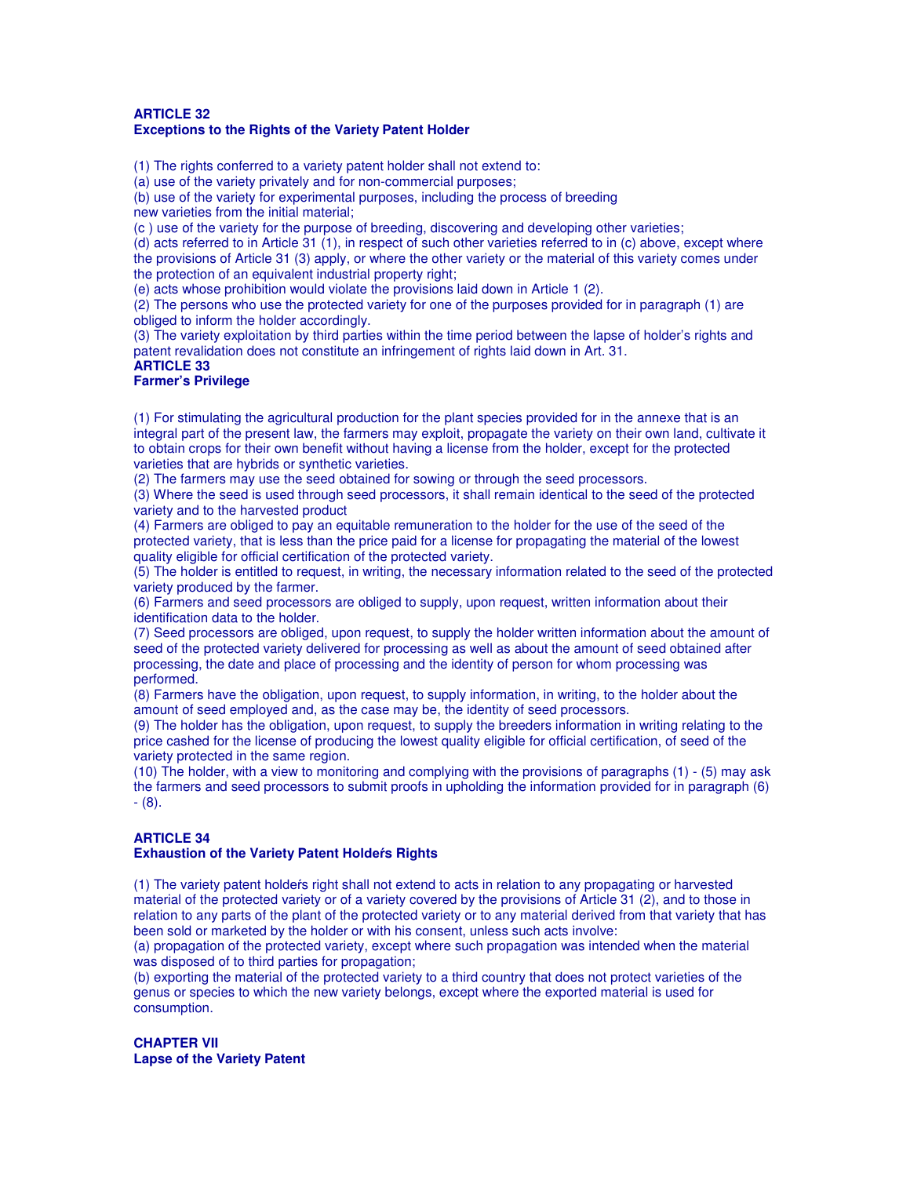#### **ARTICLE 32 Exceptions to the Rights of the Variety Patent Holder**

(1) The rights conferred to a variety patent holder shall not extend to:

(a) use of the variety privately and for non-commercial purposes;

(b) use of the variety for experimental purposes, including the process of breeding new varieties from the initial material;

(c ) use of the variety for the purpose of breeding, discovering and developing other varieties;

(d) acts referred to in Article 31 (1), in respect of such other varieties referred to in (c) above, except where the provisions of Article 31 (3) apply, or where the other variety or the material of this variety comes under the protection of an equivalent industrial property right;

(e) acts whose prohibition would violate the provisions laid down in Article 1 (2).

(2) The persons who use the protected variety for one of the purposes provided for in paragraph (1) are obliged to inform the holder accordingly.

(3) The variety exploitation by third parties within the time period between the lapse of holder's rights and patent revalidation does not constitute an infringement of rights laid down in Art. 31.

## **ARTICLE 33**

## **Farmer's Privilege**

(1) For stimulating the agricultural production for the plant species provided for in the annexe that is an integral part of the present law, the farmers may exploit, propagate the variety on their own land, cultivate it to obtain crops for their own benefit without having a license from the holder, except for the protected varieties that are hybrids or synthetic varieties.

(2) The farmers may use the seed obtained for sowing or through the seed processors.

(3) Where the seed is used through seed processors, it shall remain identical to the seed of the protected variety and to the harvested product

(4) Farmers are obliged to pay an equitable remuneration to the holder for the use of the seed of the protected variety, that is less than the price paid for a license for propagating the material of the lowest quality eligible for official certification of the protected variety.

(5) The holder is entitled to request, in writing, the necessary information related to the seed of the protected variety produced by the farmer.

(6) Farmers and seed processors are obliged to supply, upon request, written information about their identification data to the holder.

(7) Seed processors are obliged, upon request, to supply the holder written information about the amount of seed of the protected variety delivered for processing as well as about the amount of seed obtained after processing, the date and place of processing and the identity of person for whom processing was performed.

(8) Farmers have the obligation, upon request, to supply information, in writing, to the holder about the amount of seed employed and, as the case may be, the identity of seed processors.

(9) The holder has the obligation, upon request, to supply the breeders information in writing relating to the price cashed for the license of producing the lowest quality eligible for official certification, of seed of the variety protected in the same region.

(10) The holder, with a view to monitoring and complying with the provisions of paragraphs (1) - (5) may ask the farmers and seed processors to submit proofs in upholding the information provided for in paragraph (6) - (8).

## **ARTICLE 34**

## **Exhaustion of the Variety Patent** Holdeŕ**s Rights**

(1) The variety patent holdeŕs right shall not extend to acts in relation to any propagating or harvested material of the protected variety or of a variety covered by the provisions of Article 31 (2), and to those in relation to any parts of the plant of the protected variety or to any material derived from that variety that has been sold or marketed by the holder or with his consent, unless such acts involve:

(a) propagation of the protected variety, except where such propagation was intended when the material was disposed of to third parties for propagation;

(b) exporting the material of the protected variety to a third country that does not protect varieties of the genus or species to which the new variety belongs, except where the exported material is used for consumption.

**CHAPTER VII Lapse of the Variety Patent**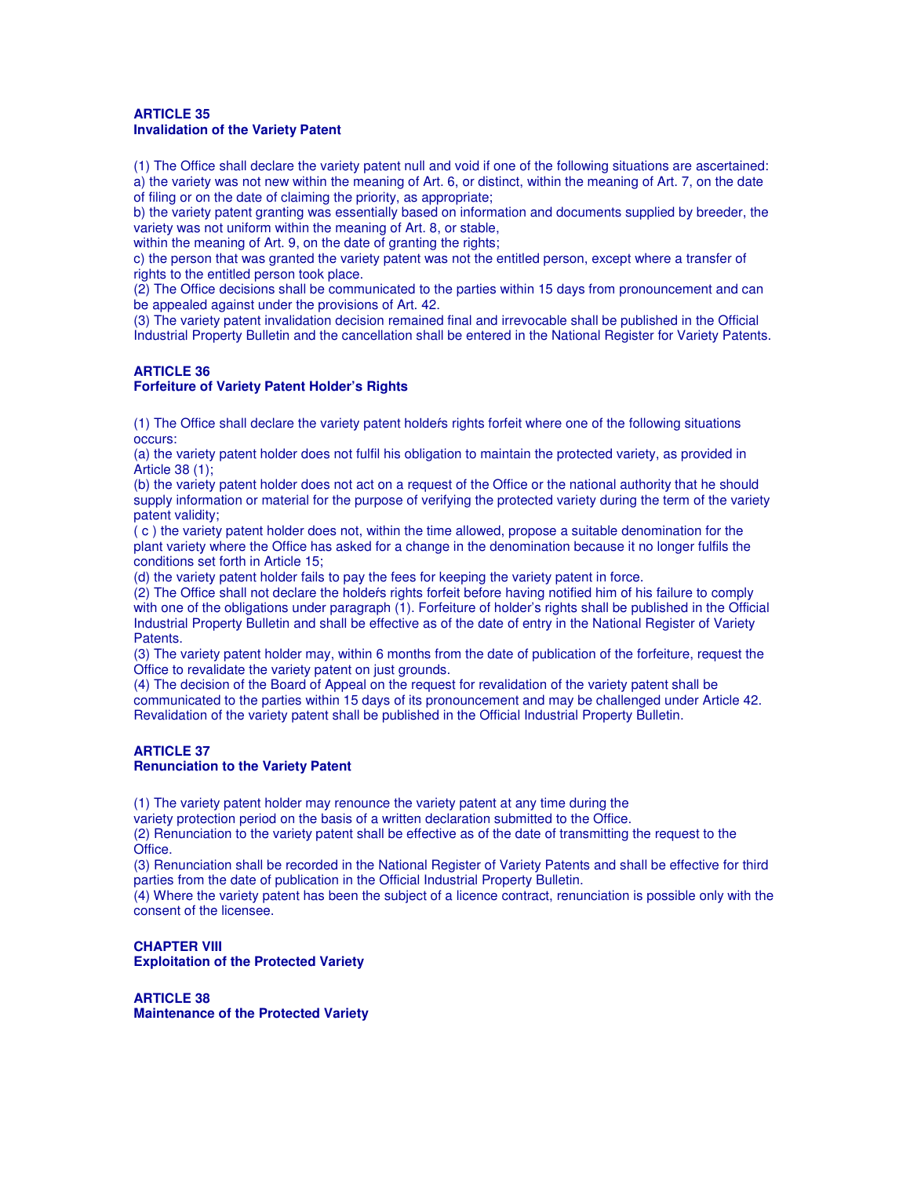#### **ARTICLE 35 Invalidation of the Variety Patent**

(1) The Office shall declare the variety patent null and void if one of the following situations are ascertained: a) the variety was not new within the meaning of Art. 6, or distinct, within the meaning of Art. 7, on the date of filing or on the date of claiming the priority, as appropriate;

b) the variety patent granting was essentially based on information and documents supplied by breeder, the variety was not uniform within the meaning of Art. 8, or stable,

within the meaning of Art. 9, on the date of granting the rights;

c) the person that was granted the variety patent was not the entitled person, except where a transfer of rights to the entitled person took place.

(2) The Office decisions shall be communicated to the parties within 15 days from pronouncement and can be appealed against under the provisions of Art. 42.

(3) The variety patent invalidation decision remained final and irrevocable shall be published in the Official Industrial Property Bulletin and the cancellation shall be entered in the National Register for Variety Patents.

## **ARTICLE 36**

## **Forfeiture of Variety Patent Holder's Rights**

(1) The Office shall declare the variety patent holdeŕs rights forfeit where one of the following situations occurs:

(a) the variety patent holder does not fulfil his obligation to maintain the protected variety, as provided in Article 38 (1);

(b) the variety patent holder does not act on a request of the Office or the national authority that he should supply information or material for the purpose of verifying the protected variety during the term of the variety patent validity;

( c ) the variety patent holder does not, within the time allowed, propose a suitable denomination for the plant variety where the Office has asked for a change in the denomination because it no longer fulfils the conditions set forth in Article 15;

(d) the variety patent holder fails to pay the fees for keeping the variety patent in force.

(2) The Office shall not declare the holdeŕs rights forfeit before having notified him of his failure to comply with one of the obligations under paragraph (1). Forfeiture of holder's rights shall be published in the Official Industrial Property Bulletin and shall be effective as of the date of entry in the National Register of Variety Patents.

(3) The variety patent holder may, within 6 months from the date of publication of the forfeiture, request the Office to revalidate the variety patent on just grounds.

(4) The decision of the Board of Appeal on the request for revalidation of the variety patent shall be communicated to the parties within 15 days of its pronouncement and may be challenged under Article 42. Revalidation of the variety patent shall be published in the Official Industrial Property Bulletin.

#### **ARTICLE 37 Renunciation to the Variety Patent**

(1) The variety patent holder may renounce the variety patent at any time during the

variety protection period on the basis of a written declaration submitted to the Office.

(2) Renunciation to the variety patent shall be effective as of the date of transmitting the request to the Office.

(3) Renunciation shall be recorded in the National Register of Variety Patents and shall be effective for third parties from the date of publication in the Official Industrial Property Bulletin.

(4) Where the variety patent has been the subject of a licence contract, renunciation is possible only with the consent of the licensee.

**CHAPTER VIII Exploitation of the Protected Variety** 

**ARTICLE 38 Maintenance of the Protected Variety**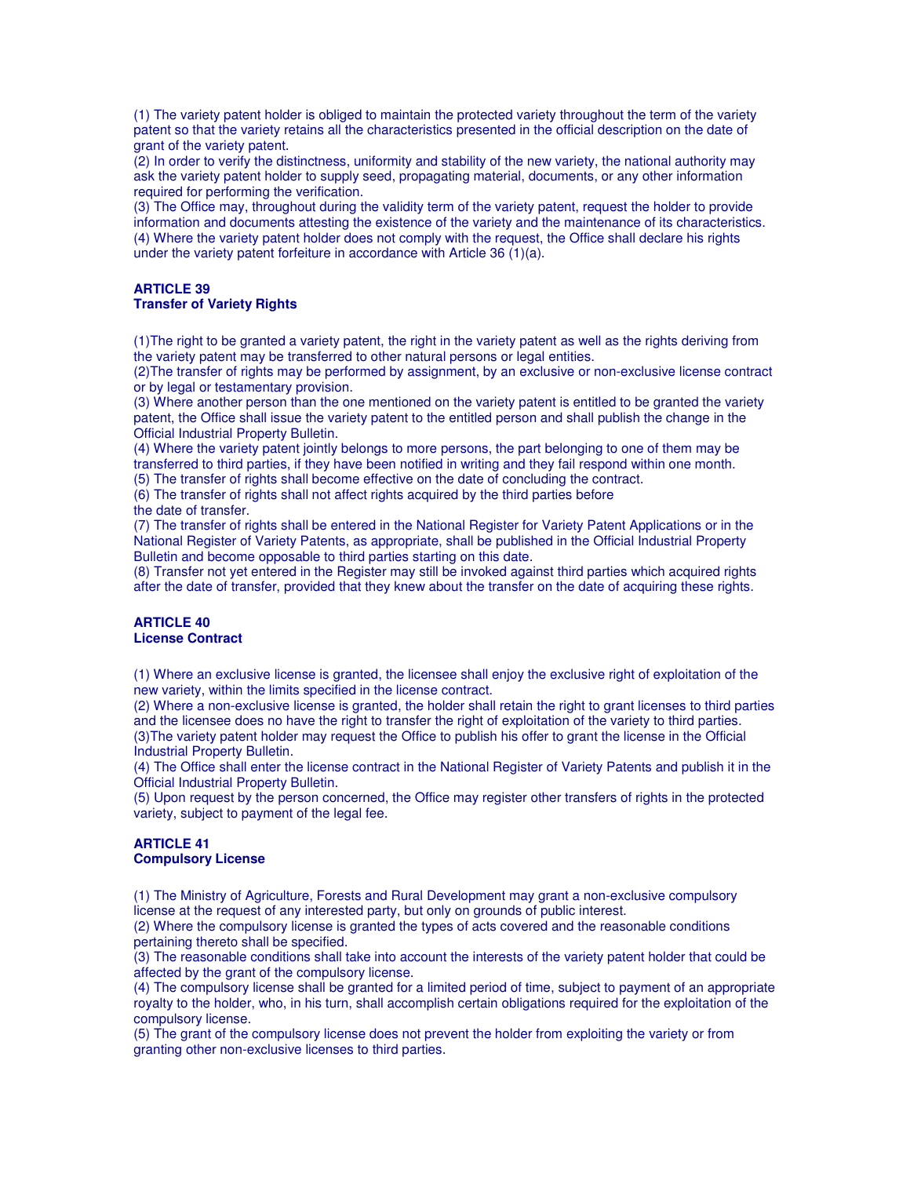(1) The variety patent holder is obliged to maintain the protected variety throughout the term of the variety patent so that the variety retains all the characteristics presented in the official description on the date of grant of the variety patent.

(2) In order to verify the distinctness, uniformity and stability of the new variety, the national authority may ask the variety patent holder to supply seed, propagating material, documents, or any other information required for performing the verification.

(3) The Office may, throughout during the validity term of the variety patent, request the holder to provide information and documents attesting the existence of the variety and the maintenance of its characteristics. (4) Where the variety patent holder does not comply with the request, the Office shall declare his rights under the variety patent forfeiture in accordance with Article 36 (1)(a).

## **ARTICLE 39**

## **Transfer of Variety Rights**

(1)The right to be granted a variety patent, the right in the variety patent as well as the rights deriving from the variety patent may be transferred to other natural persons or legal entities.

(2)The transfer of rights may be performed by assignment, by an exclusive or non-exclusive license contract or by legal or testamentary provision.

(3) Where another person than the one mentioned on the variety patent is entitled to be granted the variety patent, the Office shall issue the variety patent to the entitled person and shall publish the change in the Official Industrial Property Bulletin.

(4) Where the variety patent jointly belongs to more persons, the part belonging to one of them may be transferred to third parties, if they have been notified in writing and they fail respond within one month.

(5) The transfer of rights shall become effective on the date of concluding the contract.

(6) The transfer of rights shall not affect rights acquired by the third parties before

the date of transfer.

(7) The transfer of rights shall be entered in the National Register for Variety Patent Applications or in the National Register of Variety Patents, as appropriate, shall be published in the Official Industrial Property Bulletin and become opposable to third parties starting on this date.

(8) Transfer not yet entered in the Register may still be invoked against third parties which acquired rights after the date of transfer, provided that they knew about the transfer on the date of acquiring these rights.

#### **ARTICLE 40 License Contract**

(1) Where an exclusive license is granted, the licensee shall enjoy the exclusive right of exploitation of the new variety, within the limits specified in the license contract.

(2) Where a non-exclusive license is granted, the holder shall retain the right to grant licenses to third parties and the licensee does no have the right to transfer the right of exploitation of the variety to third parties. (3)The variety patent holder may request the Office to publish his offer to grant the license in the Official Industrial Property Bulletin.

(4) The Office shall enter the license contract in the National Register of Variety Patents and publish it in the Official Industrial Property Bulletin.

(5) Upon request by the person concerned, the Office may register other transfers of rights in the protected variety, subject to payment of the legal fee.

#### **ARTICLE 41 Compulsory License**

(1) The Ministry of Agriculture, Forests and Rural Development may grant a non-exclusive compulsory license at the request of any interested party, but only on grounds of public interest.

(2) Where the compulsory license is granted the types of acts covered and the reasonable conditions pertaining thereto shall be specified.

(3) The reasonable conditions shall take into account the interests of the variety patent holder that could be affected by the grant of the compulsory license.

(4) The compulsory license shall be granted for a limited period of time, subject to payment of an appropriate royalty to the holder, who, in his turn, shall accomplish certain obligations required for the exploitation of the compulsory license.

(5) The grant of the compulsory license does not prevent the holder from exploiting the variety or from granting other non-exclusive licenses to third parties.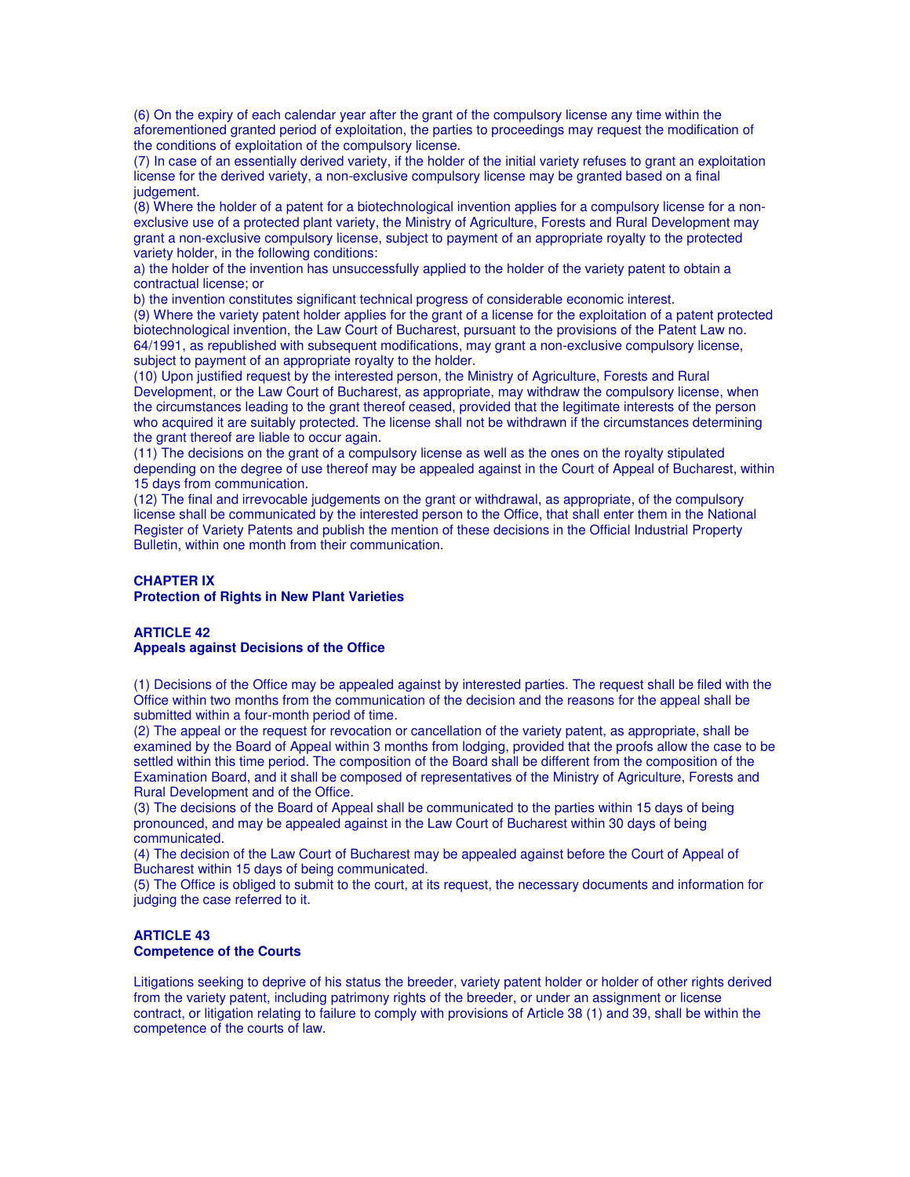(6) On the expiry of each calendar year after the grant of the compulsory license any time within the aforementioned granted period of exploitation, the parties to proceedings may request the modification of the conditions of exploitation of the compulsory license.

(7) In case of an essentially derived variety, if the holder of the initial variety refuses to grant an exploitation license for the derived variety, a non-exclusive compulsory license may be granted based on a final judgement.

(8) Where the holder of a patent for a biotechnological invention applies for a compulsory license for a nonexclusive use of a protected plant variety, the Ministry of Agriculture, Forests and Rural Development may grant a non-exclusive compulsory license, subject to payment of an appropriate royalty to the protected variety holder, in the following conditions:

a) the holder of the invention has unsuccessfully applied to the holder of the variety patent to obtain a contractual license; or

b) the invention constitutes significant technical progress of considerable economic interest.

(9) Where the variety patent holder applies for the grant of a license for the exploitation of a patent protected biotechnological invention, the Law Court of Bucharest, pursuant to the provisions of the Patent Law no. 64/1991, as republished with subsequent modifications, may grant a non-exclusive compulsory license, subject to payment of an appropriate royalty to the holder.

(10) Upon justified request by the interested person, the Ministry of Agriculture, Forests and Rural Development, or the Law Court of Bucharest, as appropriate, may withdraw the compulsory license, when the circumstances leading to the grant thereof ceased, provided that the legitimate interests of the person who acquired it are suitably protected. The license shall not be withdrawn if the circumstances determining the grant thereof are liable to occur again.

(11) The decisions on the grant of a compulsory license as well as the ones on the royalty stipulated depending on the degree of use thereof may be appealed against in the Court of Appeal of Bucharest, within 15 days from communication.

(12) The final and irrevocable judgements on the grant or withdrawal, as appropriate, of the compulsory license shall be communicated by the interested person to the Office, that shall enter them in the National Register of Variety Patents and publish the mention of these decisions in the Official Industrial Property Bulletin, within one month from their communication.

#### **CHAPTER IX Protection of Rights in New Plant Varieties**

#### **ARTICLE 42 Appeals against Decisions of the Office**

(1) Decisions of the Office may be appealed against by interested parties. The request shall be filed with the Office within two months from the communication of the decision and the reasons for the appeal shall be submitted within a four-month period of time.

(2) The appeal or the request for revocation or cancellation of the variety patent, as appropriate, shall be examined by the Board of Appeal within 3 months from lodging, provided that the proofs allow the case to be settled within this time period. The composition of the Board shall be different from the composition of the Examination Board, and it shall be composed of representatives of the Ministry of Agriculture, Forests and Rural Development and of the Office.

(3) The decisions of the Board of Appeal shall be communicated to the parties within 15 days of being pronounced, and may be appealed against in the Law Court of Bucharest within 30 days of being communicated.

(4) The decision of the Law Court of Bucharest may be appealed against before the Court of Appeal of Bucharest within 15 days of being communicated.

(5) The Office is obliged to submit to the court, at its request, the necessary documents and information for judging the case referred to it.

#### **ARTICLE 43 Competence of the Courts**

Litigations seeking to deprive of his status the breeder, variety patent holder or holder of other rights derived from the variety patent, including patrimony rights of the breeder, or under an assignment or license contract, or litigation relating to failure to comply with provisions of Article 38 (1) and 39, shall be within the competence of the courts of law.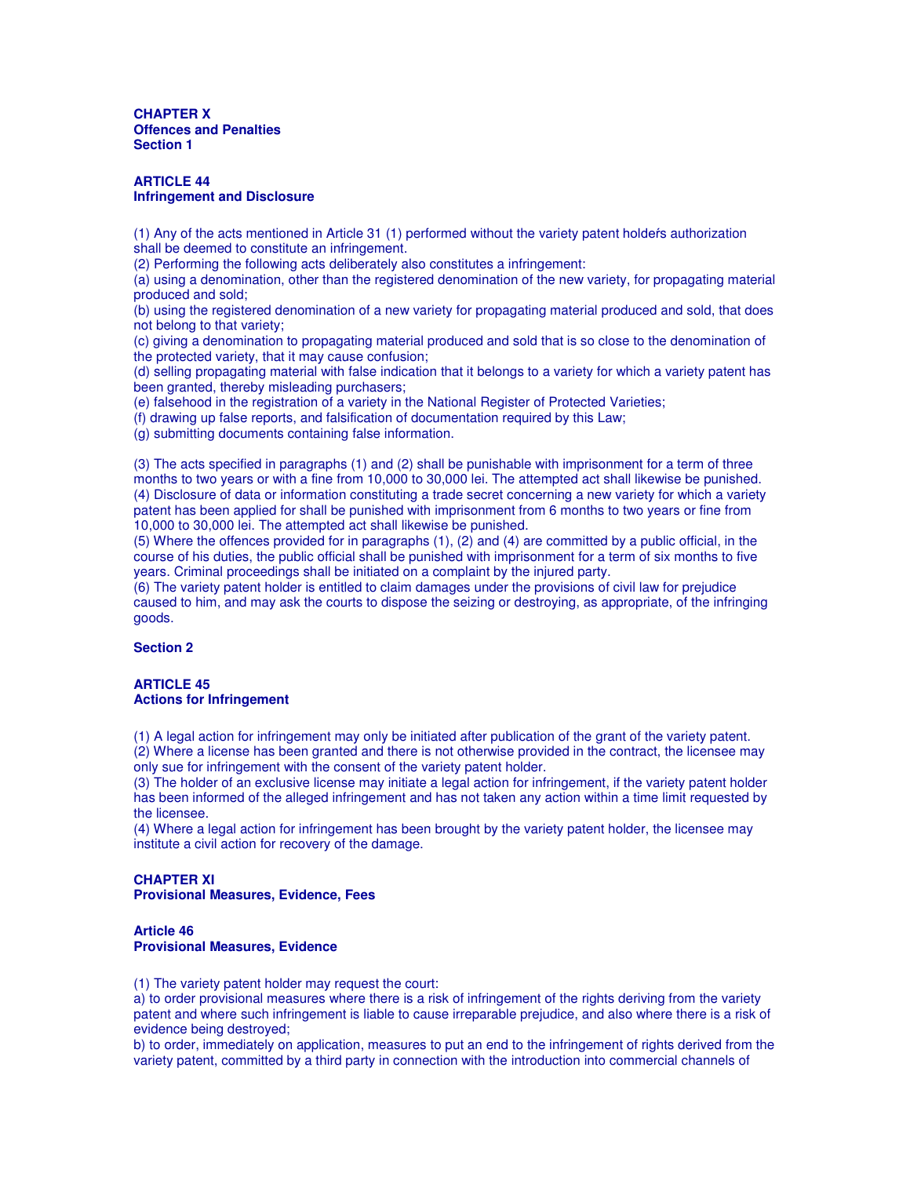**CHAPTER X Offences and Penalties Section 1**

#### **ARTICLE 44 Infringement and Disclosure**

(1) Any of the acts mentioned in Article 31 (1) performed without the variety patent holdeŕs authorization shall be deemed to constitute an infringement.

(2) Performing the following acts deliberately also constitutes a infringement:

(a) using a denomination, other than the registered denomination of the new variety, for propagating material produced and sold;

(b) using the registered denomination of a new variety for propagating material produced and sold, that does not belong to that variety;

(c) giving a denomination to propagating material produced and sold that is so close to the denomination of the protected variety, that it may cause confusion;

(d) selling propagating material with false indication that it belongs to a variety for which a variety patent has been granted, thereby misleading purchasers;

(e) falsehood in the registration of a variety in the National Register of Protected Varieties;

(f) drawing up false reports, and falsification of documentation required by this Law;

(g) submitting documents containing false information.

(3) The acts specified in paragraphs (1) and (2) shall be punishable with imprisonment for a term of three months to two years or with a fine from 10,000 to 30,000 lei. The attempted act shall likewise be punished. (4) Disclosure of data or information constituting a trade secret concerning a new variety for which a variety patent has been applied for shall be punished with imprisonment from 6 months to two years or fine from 10,000 to 30,000 lei. The attempted act shall likewise be punished.

(5) Where the offences provided for in paragraphs (1), (2) and (4) are committed by a public official, in the course of his duties, the public official shall be punished with imprisonment for a term of six months to five years. Criminal proceedings shall be initiated on a complaint by the injured party.

(6) The variety patent holder is entitled to claim damages under the provisions of civil law for prejudice caused to him, and may ask the courts to dispose the seizing or destroying, as appropriate, of the infringing goods.

#### **Section 2**

#### **ARTICLE 45 Actions for Infringement**

(1) A legal action for infringement may only be initiated after publication of the grant of the variety patent. (2) Where a license has been granted and there is not otherwise provided in the contract, the licensee may only sue for infringement with the consent of the variety patent holder.

(3) The holder of an exclusive license may initiate a legal action for infringement, if the variety patent holder has been informed of the alleged infringement and has not taken any action within a time limit requested by the licensee.

(4) Where a legal action for infringement has been brought by the variety patent holder, the licensee may institute a civil action for recovery of the damage.

#### **CHAPTER XI Provisional Measures, Evidence, Fees**

#### **Article 46 Provisional Measures, Evidence**

(1) The variety patent holder may request the court:

a) to order provisional measures where there is a risk of infringement of the rights deriving from the variety patent and where such infringement is liable to cause irreparable prejudice, and also where there is a risk of evidence being destroyed;

b) to order, immediately on application, measures to put an end to the infringement of rights derived from the variety patent, committed by a third party in connection with the introduction into commercial channels of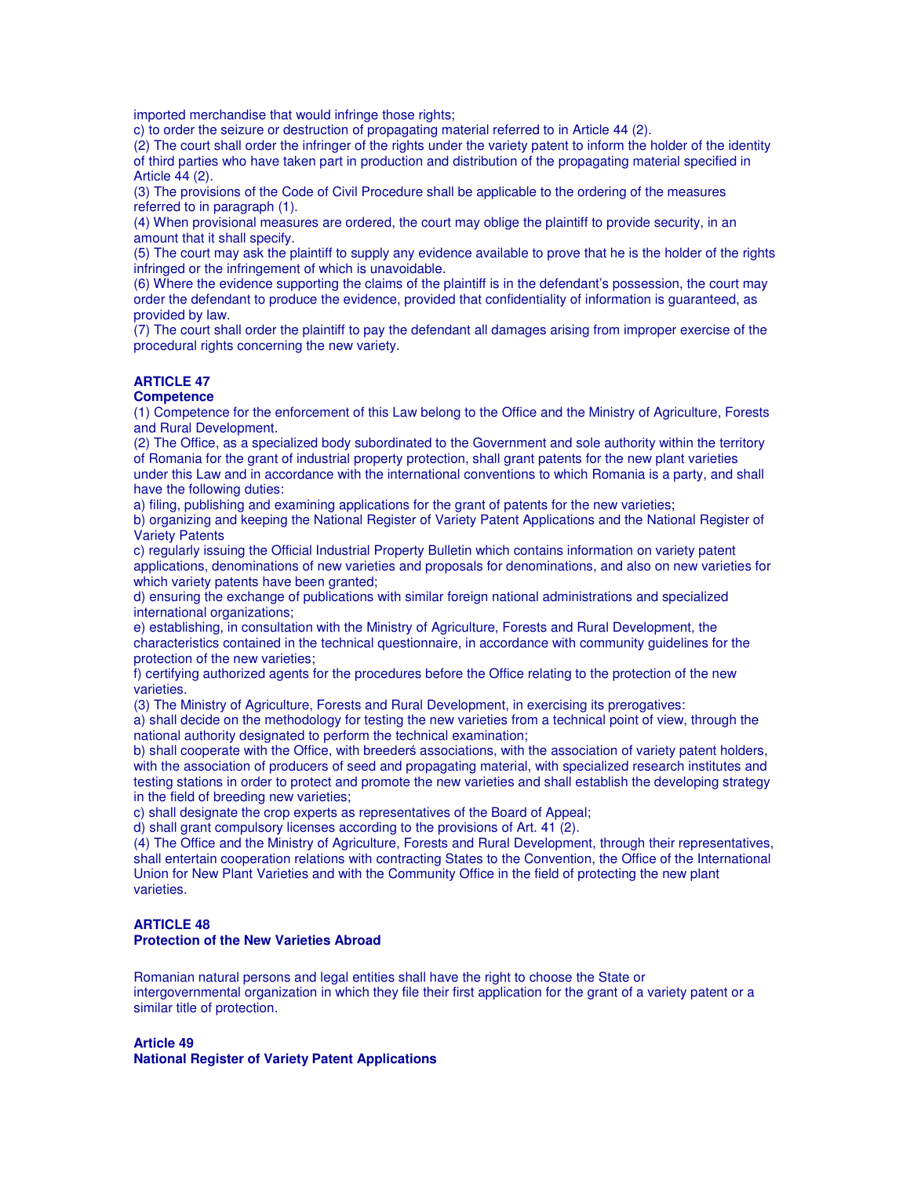imported merchandise that would infringe those rights:

c) to order the seizure or destruction of propagating material referred to in Article 44 (2).

(2) The court shall order the infringer of the rights under the variety patent to inform the holder of the identity of third parties who have taken part in production and distribution of the propagating material specified in Article 44 (2).

(3) The provisions of the Code of Civil Procedure shall be applicable to the ordering of the measures referred to in paragraph (1).

(4) When provisional measures are ordered, the court may oblige the plaintiff to provide security, in an amount that it shall specify.

(5) The court may ask the plaintiff to supply any evidence available to prove that he is the holder of the rights infringed or the infringement of which is unavoidable.

(6) Where the evidence supporting the claims of the plaintiff is in the defendant's possession, the court may order the defendant to produce the evidence, provided that confidentiality of information is guaranteed, as provided by law.

(7) The court shall order the plaintiff to pay the defendant all damages arising from improper exercise of the procedural rights concerning the new variety.

## **ARTICLE 47**

#### **Competence**

(1) Competence for the enforcement of this Law belong to the Office and the Ministry of Agriculture, Forests and Rural Development.

(2) The Office, as a specialized body subordinated to the Government and sole authority within the territory of Romania for the grant of industrial property protection, shall grant patents for the new plant varieties under this Law and in accordance with the international conventions to which Romania is a party, and shall have the following duties:

a) filing, publishing and examining applications for the grant of patents for the new varieties;

b) organizing and keeping the National Register of Variety Patent Applications and the National Register of Variety Patents

c) regularly issuing the Official Industrial Property Bulletin which contains information on variety patent applications, denominations of new varieties and proposals for denominations, and also on new varieties for which variety patents have been granted;

d) ensuring the exchange of publications with similar foreign national administrations and specialized international organizations;

e) establishing, in consultation with the Ministry of Agriculture, Forests and Rural Development, the characteristics contained in the technical questionnaire, in accordance with community guidelines for the protection of the new varieties;

f) certifying authorized agents for the procedures before the Office relating to the protection of the new varieties.

(3) The Ministry of Agriculture, Forests and Rural Development, in exercising its prerogatives:

a) shall decide on the methodology for testing the new varieties from a technical point of view, through the national authority designated to perform the technical examination;

b) shall cooperate with the Office, with breederś associations, with the association of variety patent holders, with the association of producers of seed and propagating material, with specialized research institutes and testing stations in order to protect and promote the new varieties and shall establish the developing strategy in the field of breeding new varieties;

c) shall designate the crop experts as representatives of the Board of Appeal;

d) shall grant compulsory licenses according to the provisions of Art. 41 (2).

(4) The Office and the Ministry of Agriculture, Forests and Rural Development, through their representatives, shall entertain cooperation relations with contracting States to the Convention, the Office of the International Union for New Plant Varieties and with the Community Office in the field of protecting the new plant varieties.

#### **ARTICLE 48 Protection of the New Varieties Abroad**

Romanian natural persons and legal entities shall have the right to choose the State or intergovernmental organization in which they file their first application for the grant of a variety patent or a similar title of protection.

# **Article 49**

**National Register of Variety Patent Applications**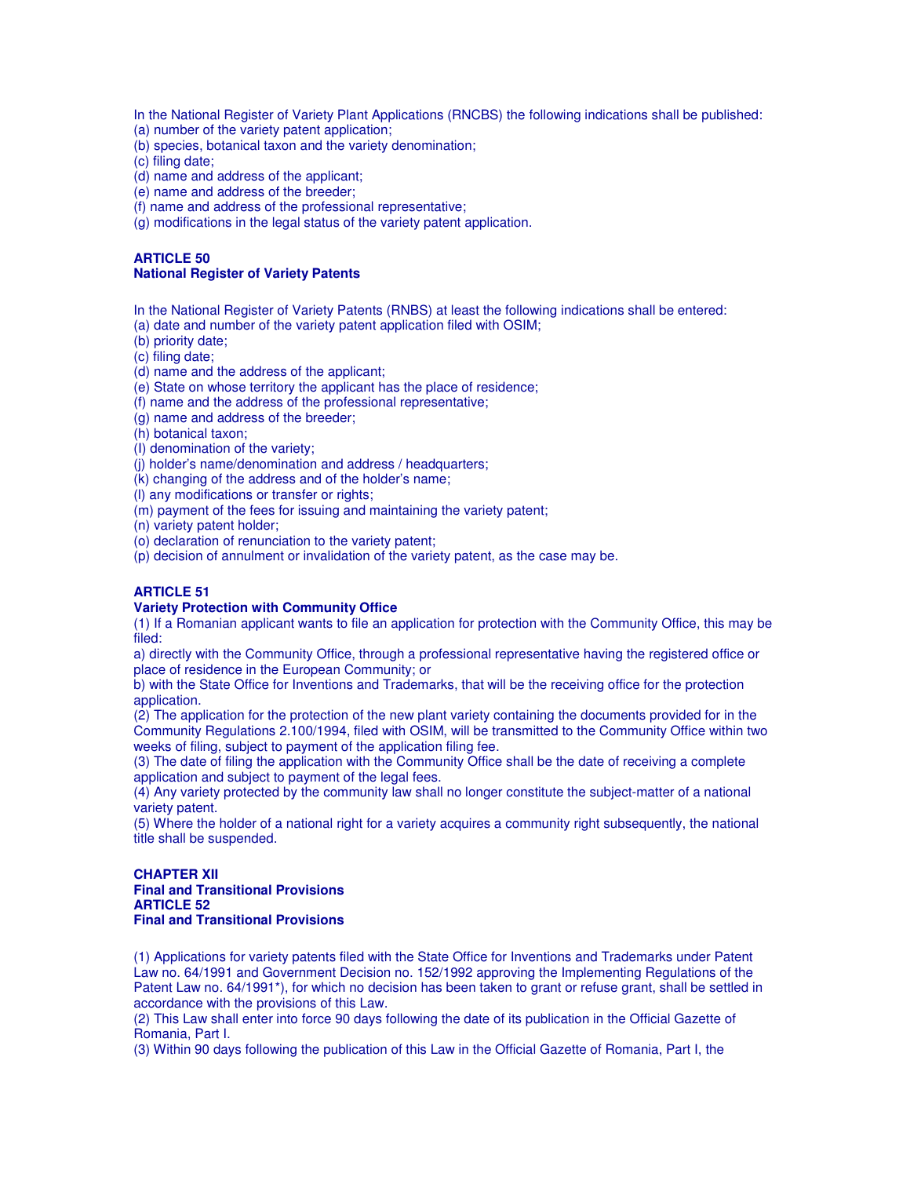In the National Register of Variety Plant Applications (RNCBS) the following indications shall be published:

(a) number of the variety patent application;

(b) species, botanical taxon and the variety denomination;

(c) filing date;

(d) name and address of the applicant;

(e) name and address of the breeder;

(f) name and address of the professional representative;

(g) modifications in the legal status of the variety patent application.

### **ARTICLE 50 National Register of Variety Patents**

In the National Register of Variety Patents (RNBS) at least the following indications shall be entered:

(a) date and number of the variety patent application filed with OSIM;

(b) priority date;

(c) filing date;

(d) name and the address of the applicant;

(e) State on whose territory the applicant has the place of residence;

(f) name and the address of the professional representative;

(g) name and address of the breeder;

(h) botanical taxon;

(I) denomination of the variety;

(j) holder's name/denomination and address / headquarters;

(k) changing of the address and of the holder's name;

(l) any modifications or transfer or rights;

(m) payment of the fees for issuing and maintaining the variety patent;

(n) variety patent holder;

(o) declaration of renunciation to the variety patent;

(p) decision of annulment or invalidation of the variety patent, as the case may be.

## **ARTICLE 51**

#### **Variety Protection with Community Office**

(1) If a Romanian applicant wants to file an application for protection with the Community Office, this may be filed:

a) directly with the Community Office, through a professional representative having the registered office or place of residence in the European Community; or

b) with the State Office for Inventions and Trademarks, that will be the receiving office for the protection application.

(2) The application for the protection of the new plant variety containing the documents provided for in the Community Regulations 2.100/1994, filed with OSIM, will be transmitted to the Community Office within two weeks of filing, subject to payment of the application filing fee.

(3) The date of filing the application with the Community Office shall be the date of receiving a complete application and subject to payment of the legal fees.

(4) Any variety protected by the community law shall no longer constitute the subject-matter of a national variety patent.

(5) Where the holder of a national right for a variety acquires a community right subsequently, the national title shall be suspended.

#### **CHAPTER XII Final and Transitional Provisions ARTICLE 52 Final and Transitional Provisions**

(1) Applications for variety patents filed with the State Office for Inventions and Trademarks under Patent Law no. 64/1991 and Government Decision no. 152/1992 approving the Implementing Regulations of the Patent Law no. 64/1991\*), for which no decision has been taken to grant or refuse grant, shall be settled in accordance with the provisions of this Law.

(2) This Law shall enter into force 90 days following the date of its publication in the Official Gazette of Romania, Part I.

(3) Within 90 days following the publication of this Law in the Official Gazette of Romania, Part I, the